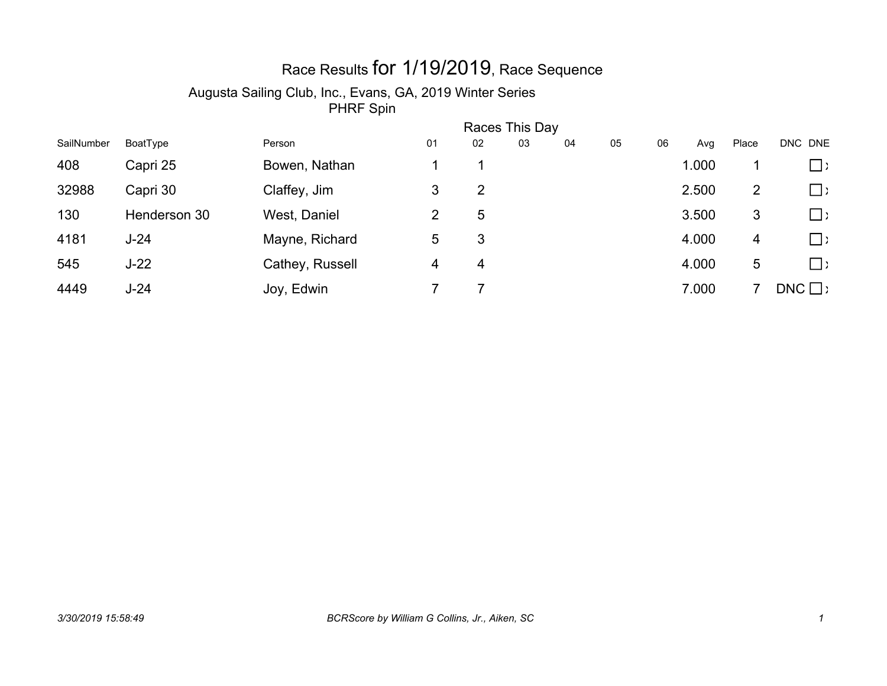## Race Results for 1/19/2019, Race Sequence

#### Augusta Sailing Club, Inc., Evans, GA, 2019 Winter Series

|            |              | Races This Day  |    |    |    |    |    |    |       |       |               |
|------------|--------------|-----------------|----|----|----|----|----|----|-------|-------|---------------|
| SailNumber | BoatType     | Person          | 01 | 02 | 03 | 04 | 05 | 06 | Avg   | Place | DNC DNE       |
| 408        | Capri 25     | Bowen, Nathan   |    |    |    |    |    |    | 1.000 |       | $\Box$ )      |
| 32988      | Capri 30     | Claffey, Jim    | 3  | 2  |    |    |    |    | 2.500 | 2     | $\Box$        |
| 130        | Henderson 30 | West, Daniel    | 2  | 5  |    |    |    |    | 3.500 | 3     | $\Box$        |
| 4181       | $J-24$       | Mayne, Richard  | 5  | 3  |    |    |    |    | 4.000 | 4     | $\square$ )   |
| 545        | $J-22$       | Cathey, Russell | 4  | 4  |    |    |    |    | 4.000 | 5     | $\square$ )   |
| 4449       | $J-24$       | Joy, Edwin      |    |    |    |    |    |    | 7.000 |       | $DNC \square$ |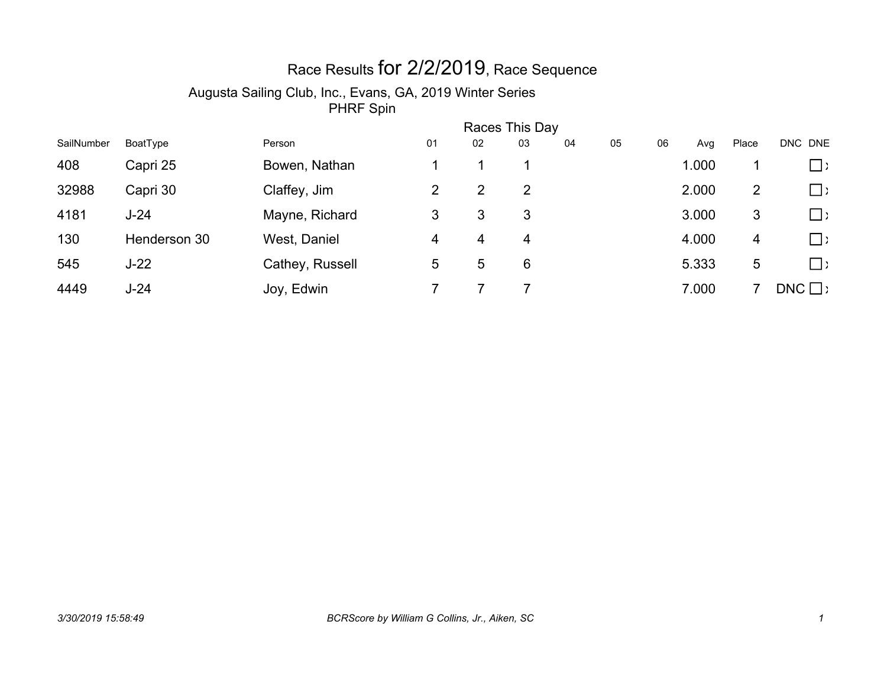## Race Results for 2/2/2019, Race Sequence

#### Augusta Sailing Club, Inc., Evans, GA, 2019 Winter Series

|            | Races This Day |                 |                           |    |    |    |    |    |       |       |               |  |  |
|------------|----------------|-----------------|---------------------------|----|----|----|----|----|-------|-------|---------------|--|--|
| SailNumber | BoatType       | Person          | 01                        | 02 | 03 | 04 | 05 | 06 | Avg   | Place | DNC DNE       |  |  |
| 408        | Capri 25       | Bowen, Nathan   |                           |    |    |    |    |    | 1.000 |       | $\Box$ )      |  |  |
| 32988      | Capri 30       | Claffey, Jim    | $\mathbf{2}^{\mathsf{I}}$ | 2  | 2  |    |    |    | 2.000 | 2     | $\Box$        |  |  |
| 4181       | $J-24$         | Mayne, Richard  | 3                         | 3  | 3  |    |    |    | 3.000 | 3     | $\square$     |  |  |
| 130        | Henderson 30   | West, Daniel    | 4                         | 4  | 4  |    |    |    | 4.000 | 4     | $\square$ )   |  |  |
| 545        | $J-22$         | Cathey, Russell | 5.                        | 5  | 6  |    |    |    | 5.333 | 5     | $\Box$ )      |  |  |
| 4449       | $J-24$         | Joy, Edwin      |                           |    |    |    |    |    | 7.000 |       | $DNC \square$ |  |  |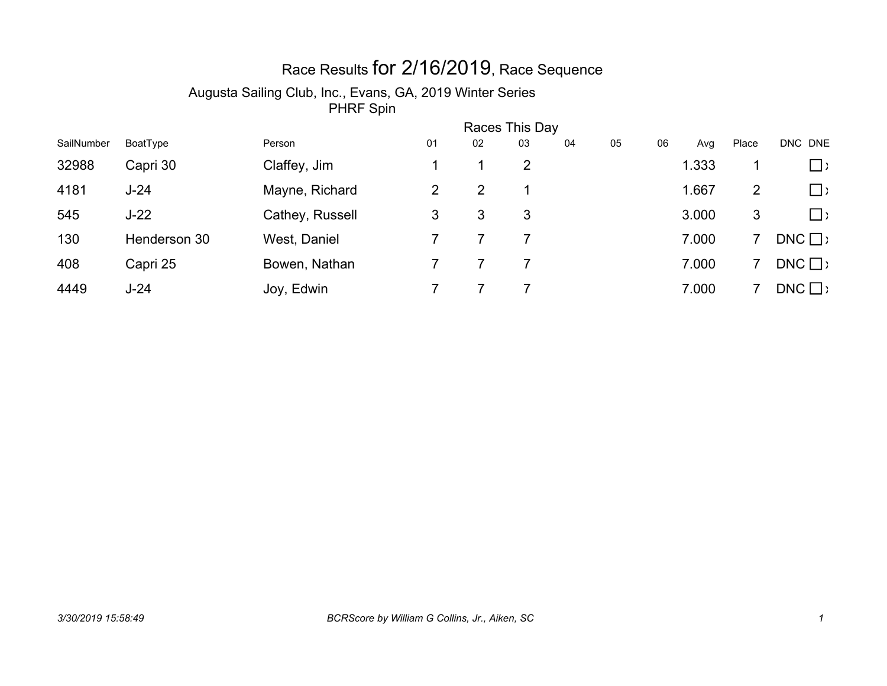# Race Results for 2/16/2019, Race Sequence

#### Augusta Sailing Club, Inc., Evans, GA, 2019 Winter Series

|            | Races This Day |                 |                           |    |    |    |    |    |       |       |               |
|------------|----------------|-----------------|---------------------------|----|----|----|----|----|-------|-------|---------------|
| SailNumber | BoatType       | Person          | 01                        | 02 | 03 | 04 | 05 | 06 | Avg   | Place | DNC DNE       |
| 32988      | Capri 30       | Claffey, Jim    |                           |    | 2  |    |    |    | 1.333 |       | $\Box$ )      |
| 4181       | $J-24$         | Mayne, Richard  | $\mathbf{2}^{\mathsf{I}}$ | 2  |    |    |    |    | 1.667 | 2     | $\Box$        |
| 545        | $J-22$         | Cathey, Russell | 3                         | 3  | 3  |    |    |    | 3.000 | 3     | $\Box$ )      |
| 130        | Henderson 30   | West, Daniel    |                           |    |    |    |    |    | 7.000 |       | $DNC \square$ |
| 408        | Capri 25       | Bowen, Nathan   |                           |    |    |    |    |    | 7.000 |       | $DNC \square$ |
| 4449       | $J-24$         | Joy, Edwin      |                           |    |    |    |    |    | 7.000 |       | $DNC \square$ |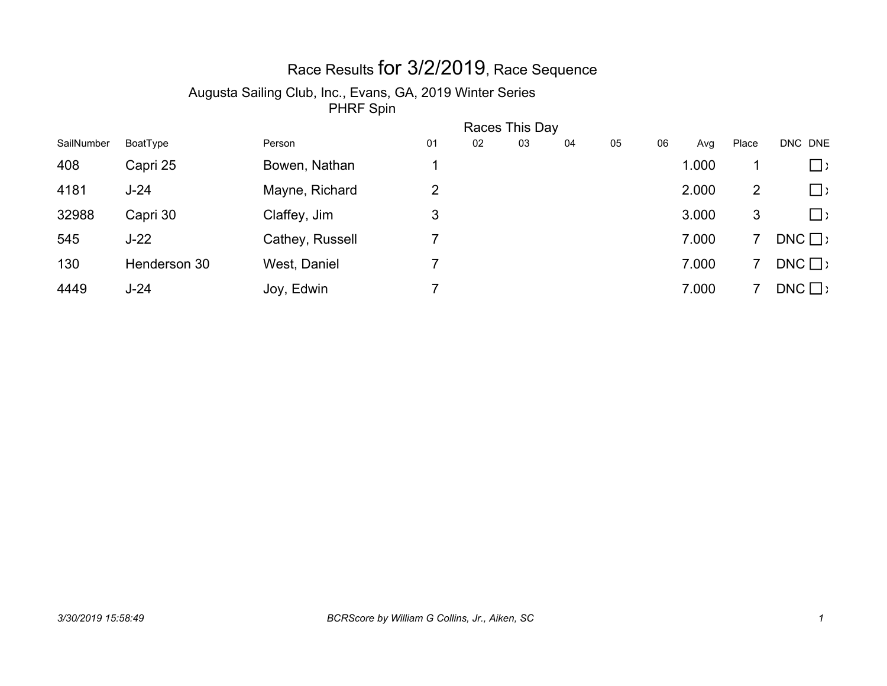## Race Results for 3/2/2019, Race Sequence

#### Augusta Sailing Club, Inc., Evans, GA, 2019 Winter Series

|            |              | Races This Day  |    |    |    |    |    |    |       |       |               |
|------------|--------------|-----------------|----|----|----|----|----|----|-------|-------|---------------|
| SailNumber | BoatType     | Person          | 01 | 02 | 03 | 04 | 05 | 06 | Avg   | Place | DNC DNE       |
| 408        | Capri 25     | Bowen, Nathan   |    |    |    |    |    |    | 1.000 |       | $\Box$ )      |
| 4181       | $J-24$       | Mayne, Richard  | 2  |    |    |    |    |    | 2.000 | 2     | $\Box$        |
| 32988      | Capri 30     | Claffey, Jim    | 3  |    |    |    |    |    | 3.000 | 3     | $\square$ )   |
| 545        | $J-22$       | Cathey, Russell |    |    |    |    |    |    | 7.000 |       | $DNC \square$ |
| 130        | Henderson 30 | West, Daniel    |    |    |    |    |    |    | 7.000 |       | $DNC \square$ |
| 4449       | $J-24$       | Joy, Edwin      |    |    |    |    |    |    | 7.000 |       | $DNC \square$ |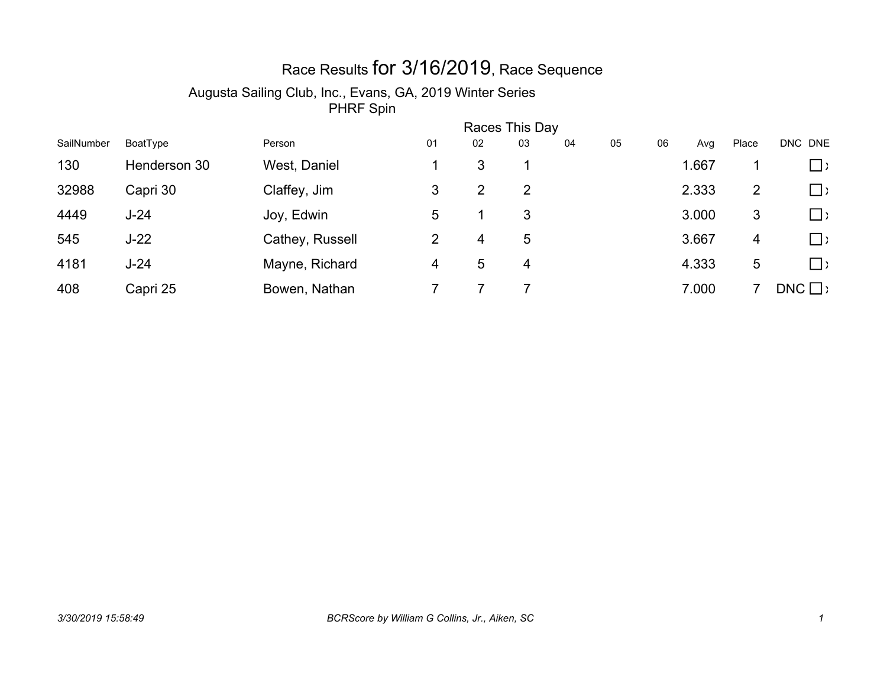## Race Results for 3/16/2019, Race Sequence

#### Augusta Sailing Club, Inc., Evans, GA, 2019 Winter Series

|            | Races This Day |                 |    |    |    |    |    |    |       |       |               |  |
|------------|----------------|-----------------|----|----|----|----|----|----|-------|-------|---------------|--|
| SailNumber | BoatType       | Person          | 01 | 02 | 03 | 04 | 05 | 06 | Avg   | Place | DNC DNE       |  |
| 130        | Henderson 30   | West, Daniel    |    | 3  |    |    |    |    | 1.667 |       | $\Box$ )      |  |
| 32988      | Capri 30       | Claffey, Jim    | 3  | 2  | 2  |    |    |    | 2.333 | 2     | $\Box$        |  |
| 4449       | $J-24$         | Joy, Edwin      | 5  |    | 3  |    |    |    | 3.000 | 3     | $\square$     |  |
| 545        | $J-22$         | Cathey, Russell | 2  | 4  | 5  |    |    |    | 3.667 | 4     | $\square$ )   |  |
| 4181       | $J-24$         | Mayne, Richard  | 4  | 5  | 4  |    |    |    | 4.333 | 5     | $\Box$ )      |  |
| 408        | Capri 25       | Bowen, Nathan   |    |    |    |    |    |    | 7.000 |       | $DNC \square$ |  |